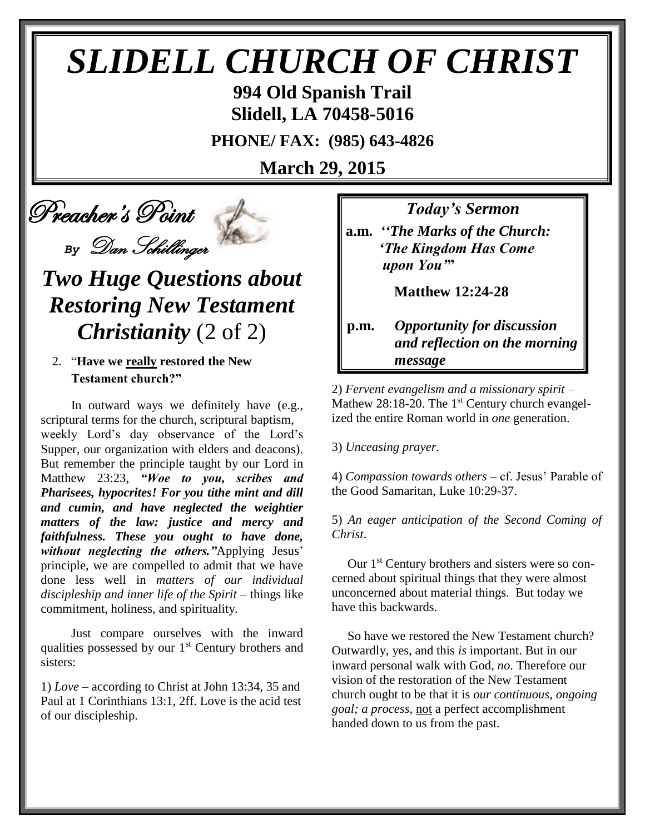# *SLIDELL CHURCH OF CHRIST*

**994 Old Spanish Trail Slidell, LA 70458-5016**

**PHONE/ FAX: (985) 643-4826**

**March 29, 2015**

Preacher's Point

*By* Dan Schillinger

# *Two Huge Questions about Restoring New Testament Christianity* (2 of 2)

#### 2. "**Have we really restored the New Testament church?"**

 In outward ways we definitely have (e.g., scriptural terms for the church, scriptural baptism, weekly Lord's day observance of the Lord's Supper, our organization with elders and deacons). But remember the principle taught by our Lord in Matthew 23:23, *"Woe to you, scribes and Pharisees, hypocrites! For you tithe mint and dill and cumin, and have neglected the weightier matters of the law: justice and mercy and faithfulness. These you ought to have done, without neglecting the others."*Applying Jesus' principle, we are compelled to admit that we have done less well in *matters of our individual discipleship and inner life of the Spirit* – things like commitment, holiness, and spirituality.

 Just compare ourselves with the inward qualities possessed by our  $1<sup>st</sup>$  Century brothers and sisters:

1) *Love* – according to Christ at John 13:34, 35 and Paul at 1 Corinthians 13:1, 2ff. Love is the acid test of our discipleship.

*Today's Sermon*

**a.m.** *''The Marks of the Church: 'The Kingdom Has Come upon You'***"**

 **Matthew 12:24-28**

### **p.m.** *Opportunity for discussion*  *and reflection on the morning message*

2) *Fervent evangelism and a missionary spirit* – Mathew 28:18-20. The 1<sup>st</sup> Century church evangelized the entire Roman world in *one* generation.

3) *Unceasing prayer*.

4) *Compassion towards others* – cf. Jesus' Parable of the Good Samaritan, Luke 10:29-37.

5) *An eager anticipation of the Second Coming of Christ*.

Our 1<sup>st</sup> Century brothers and sisters were so concerned about spiritual things that they were almost unconcerned about material things. But today we have this backwards.

 So have we restored the New Testament church? Outwardly, yes, and this *is* important. But in our inward personal walk with God, *no*. Therefore our vision of the restoration of the New Testament church ought to be that it is *our continuous, ongoing goal; a process*, not a perfect accomplishment handed down to us from the past.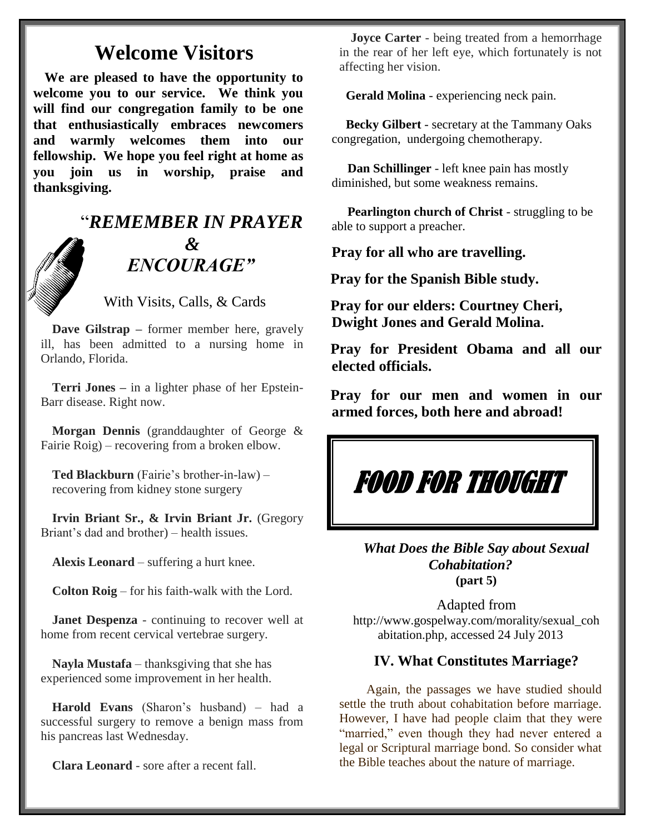## **Welcome Visitors**

**We are pleased to have the opportunity to welcome you to our service. We think you will find our congregation family to be one that enthusiastically embraces newcomers and warmly welcomes them into our fellowship. We hope you feel right at home as you join us in worship, praise and thanksgiving.**

## "*REMEMBER IN PRAYER &* " *ENCOURAGE"*

With Visits, Calls, & Cards

**Dave Gilstrap –** former member here, gravely ill, has been admitted to a nursing home in Orlando, Florida.

**Terri Jones –** in a lighter phase of her Epstein-Barr disease. Right now.

**Morgan Dennis** (granddaughter of George & Fairie Roig) – recovering from a broken elbow.

**Ted Blackburn** (Fairie's brother-in-law) – recovering from kidney stone surgery

**Irvin Briant Sr., & Irvin Briant Jr.** (Gregory Briant's dad and brother) – health issues.

**Alexis Leonard** – suffering a hurt knee.

**Colton Roig** – for his faith-walk with the Lord.

**Janet Despenza** - continuing to recover well at home from recent cervical vertebrae surgery.

**Nayla Mustafa** – thanksgiving that she has experienced some improvement in her health.

**Harold Evans** (Sharon's husband) – had a successful surgery to remove a benign mass from his pancreas last Wednesday.

**Clara Leonard** - sore after a recent fall.

**Joyce Carter** - being treated from a hemorrhage in the rear of her left eye, which fortunately is not affecting her vision.

 **Gerald Molina** - experiencing neck pain.

 **Becky Gilbert** - secretary at the Tammany Oaks congregation, undergoing chemotherapy.

 **Dan Schillinger** - left knee pain has mostly diminished, but some weakness remains.

 **Pearlington church of Christ** - struggling to be able to support a preacher.

**Pray for all who are travelling.**

**Pray for the Spanish Bible study.**

**Pray for our elders: Courtney Cheri, Dwight Jones and Gerald Molina.**

**Pray for President Obama and all our elected officials.**

**Pray for our men and women in our armed forces, both here and abroad!**

# FOOD FOR THOUGHT

*What Does the Bible Say about Sexual Cohabitation?* **(part 5)**

Adapted from http://www.gospelway.com/morality/sexual\_coh abitation.php, accessed 24 July 2013

#### **IV. What Constitutes Marriage?**

 Again, the passages we have studied should settle the truth about cohabitation before marriage. However, I have had people claim that they were "married," even though they had never entered a legal or Scriptural marriage bond. So consider what the Bible teaches about the nature of marriage.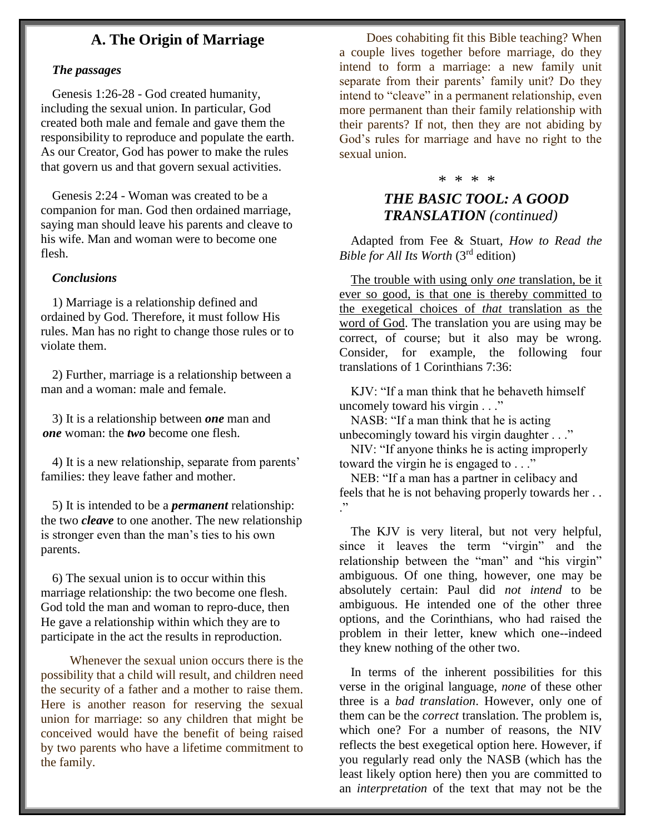#### **A. The Origin of Marriage**

#### *The passages*

Genesis 1:26-28 - God created humanity, including the sexual union. In particular, God created both male and female and gave them the responsibility to reproduce and populate the earth. As our Creator, God has power to make the rules that govern us and that govern sexual activities.

Genesis 2:24 - Woman was created to be a companion for man. God then ordained marriage, saying man should leave his parents and cleave to his wife. Man and woman were to become one flesh.

#### *Conclusions*

1) Marriage is a relationship defined and ordained by God. Therefore, it must follow His rules. Man has no right to change those rules or to violate them.

2) Further, marriage is a relationship between a man and a woman: male and female.

3) It is a relationship between *one* man and *one* woman: the *two* become one flesh.

4) It is a new relationship, separate from parents' families: they leave father and mother.

5) It is intended to be a *permanent* relationship: the two *cleave* to one another. The new relationship is stronger even than the man's ties to his own parents.

6) The sexual union is to occur within this marriage relationship: the two become one flesh. God told the man and woman to repro-duce, then He gave a relationship within which they are to participate in the act the results in reproduction.

 Whenever the sexual union occurs there is the possibility that a child will result, and children need the security of a father and a mother to raise them. Here is another reason for reserving the sexual union for marriage: so any children that might be conceived would have the benefit of being raised by two parents who have a lifetime commitment to the family.

 Does cohabiting fit this Bible teaching? When a couple lives together before marriage, do they intend to form a marriage: a new family unit separate from their parents' family unit? Do they intend to "cleave" in a permanent relationship, even more permanent than their family relationship with their parents? If not, then they are not abiding by God's rules for marriage and have no right to the sexual union.

#### \* \* \* \*

### *THE BASIC TOOL: A GOOD TRANSLATION (continued)*

Adapted from Fee & Stuart, *How to Read the Bible for All Its Worth* (3rd edition)

The trouble with using only *one* translation, be it ever so good, is that one is thereby committed to the exegetical choices of *that* translation as the word of God. The translation you are using may be correct, of course; but it also may be wrong. Consider, for example, the following four translations of 1 Corinthians 7:36:

KJV: "If a man think that he behaveth himself uncomely toward his virgin . . ."

NASB: "If a man think that he is acting unbecomingly toward his virgin daughter . . ."

NIV: "If anyone thinks he is acting improperly toward the virgin he is engaged to . . ."

NEB: "If a man has a partner in celibacy and feels that he is not behaving properly towards her . . ."

The KJV is very literal, but not very helpful, since it leaves the term "virgin" and the relationship between the "man" and "his virgin" ambiguous. Of one thing, however, one may be absolutely certain: Paul did *not intend* to be ambiguous. He intended one of the other three options, and the Corinthians, who had raised the problem in their letter, knew which one--indeed they knew nothing of the other two.

In terms of the inherent possibilities for this verse in the original language, *none* of these other three is a *bad translation*. However, only one of them can be the *correct* translation. The problem is, which one? For a number of reasons, the NIV reflects the best exegetical option here. However, if you regularly read only the NASB (which has the least likely option here) then you are committed to an *interpretation* of the text that may not be the